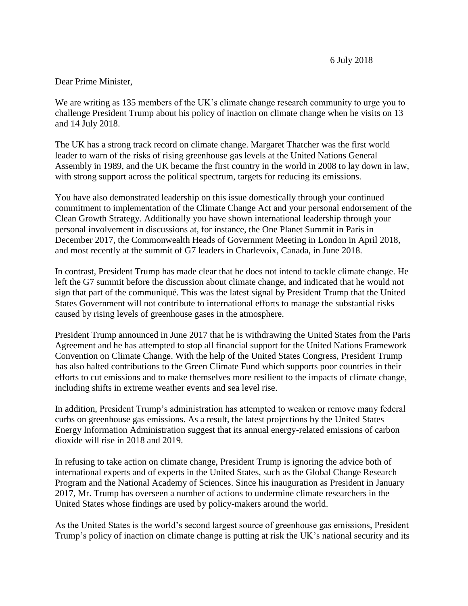## Dear Prime Minister,

We are writing as 135 members of the UK's climate change research community to urge you to challenge President Trump about his policy of inaction on climate change when he visits on 13 and 14 July 2018.

The UK has a strong track record on climate change. Margaret Thatcher was the first world leader to warn of the risks of rising greenhouse gas levels at the United Nations General Assembly in 1989, and the UK became the first country in the world in 2008 to lay down in law, with strong support across the political spectrum, targets for reducing its emissions.

You have also demonstrated leadership on this issue domestically through your continued commitment to implementation of the Climate Change Act and your personal endorsement of the Clean Growth Strategy. Additionally you have shown international leadership through your personal involvement in discussions at, for instance, the One Planet Summit in Paris in December 2017, the Commonwealth Heads of Government Meeting in London in April 2018, and most recently at the summit of G7 leaders in Charlevoix, Canada, in June 2018.

In contrast, President Trump has made clear that he does not intend to tackle climate change. He left the G7 summit before the discussion about climate change, and indicated that he would not sign that part of the communiqué. This was the latest signal by President Trump that the United States Government will not contribute to international efforts to manage the substantial risks caused by rising levels of greenhouse gases in the atmosphere.

President Trump announced in June 2017 that he is withdrawing the United States from the Paris Agreement and he has attempted to stop all financial support for the United Nations Framework Convention on Climate Change. With the help of the United States Congress, President Trump has also halted contributions to the Green Climate Fund which supports poor countries in their efforts to cut emissions and to make themselves more resilient to the impacts of climate change, including shifts in extreme weather events and sea level rise.

In addition, President Trump's administration has attempted to weaken or remove many federal curbs on greenhouse gas emissions. As a result, the latest projections by the United States Energy Information Administration suggest that its annual energy-related emissions of carbon dioxide will rise in 2018 and 2019.

In refusing to take action on climate change, President Trump is ignoring the advice both of international experts and of experts in the United States, such as the Global Change Research Program and the National Academy of Sciences. Since his inauguration as President in January 2017, Mr. Trump has overseen a number of actions to undermine climate researchers in the United States whose findings are used by policy-makers around the world.

As the United States is the world's second largest source of greenhouse gas emissions, President Trump's policy of inaction on climate change is putting at risk the UK's national security and its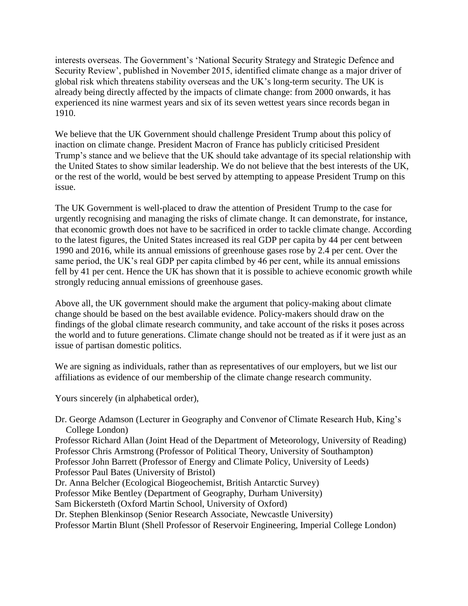interests overseas. The Government's 'National Security Strategy and Strategic Defence and Security Review', published in November 2015, identified climate change as a major driver of global risk which threatens stability overseas and the UK's long-term security. The UK is already being directly affected by the impacts of climate change: from 2000 onwards, it has experienced its nine warmest years and six of its seven wettest years since records began in 1910.

We believe that the UK Government should challenge President Trump about this policy of inaction on climate change. President Macron of France has publicly criticised President Trump's stance and we believe that the UK should take advantage of its special relationship with the United States to show similar leadership. We do not believe that the best interests of the UK, or the rest of the world, would be best served by attempting to appease President Trump on this issue.

The UK Government is well-placed to draw the attention of President Trump to the case for urgently recognising and managing the risks of climate change. It can demonstrate, for instance, that economic growth does not have to be sacrificed in order to tackle climate change. According to the latest figures, the United States increased its real GDP per capita by 44 per cent between 1990 and 2016, while its annual emissions of greenhouse gases rose by 2.4 per cent. Over the same period, the UK's real GDP per capita climbed by 46 per cent, while its annual emissions fell by 41 per cent. Hence the UK has shown that it is possible to achieve economic growth while strongly reducing annual emissions of greenhouse gases.

Above all, the UK government should make the argument that policy-making about climate change should be based on the best available evidence. Policy-makers should draw on the findings of the global climate research community, and take account of the risks it poses across the world and to future generations. Climate change should not be treated as if it were just as an issue of partisan domestic politics.

We are signing as individuals, rather than as representatives of our employers, but we list our affiliations as evidence of our membership of the climate change research community.

Yours sincerely (in alphabetical order),

Dr. George Adamson (Lecturer in Geography and Convenor of Climate Research Hub, King's College London)

Professor Richard Allan (Joint Head of the Department of Meteorology, University of Reading) Professor Chris Armstrong (Professor of Political Theory, University of Southampton) Professor John Barrett (Professor of Energy and Climate Policy, University of Leeds) Professor Paul Bates (University of Bristol)

Dr. Anna Belcher (Ecological Biogeochemist, British Antarctic Survey)

Professor Mike Bentley (Department of Geography, Durham University)

Sam Bickersteth (Oxford Martin School, University of Oxford)

Dr. Stephen Blenkinsop (Senior Research Associate, Newcastle University)

Professor Martin Blunt (Shell Professor of Reservoir Engineering, Imperial College London)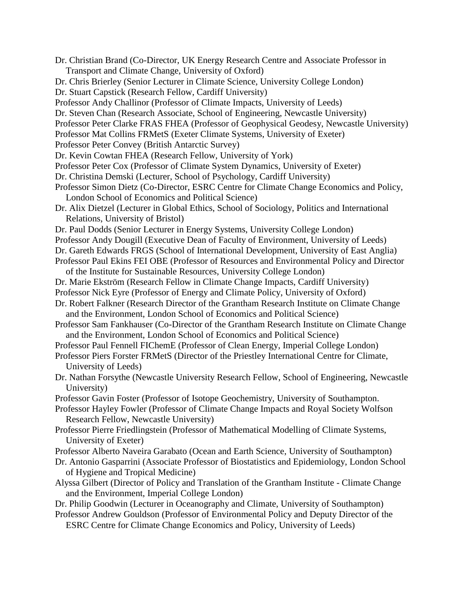Dr. Christian Brand (Co-Director, UK Energy Research Centre and Associate Professor in Transport and Climate Change, University of Oxford) Dr. Chris Brierley (Senior Lecturer in Climate Science, University College London) Dr. Stuart Capstick (Research Fellow, Cardiff University) Professor Andy Challinor (Professor of Climate Impacts, University of Leeds) Dr. Steven Chan (Research Associate, School of Engineering, Newcastle University) Professor Peter Clarke FRAS FHEA (Professor of Geophysical Geodesy, Newcastle University) Professor Mat Collins FRMetS (Exeter Climate Systems, University of Exeter) Professor Peter Convey (British Antarctic Survey) Dr. Kevin Cowtan FHEA (Research Fellow, University of York) Professor Peter Cox (Professor of Climate System Dynamics, University of Exeter) Dr. Christina Demski (Lecturer, School of Psychology, Cardiff University) Professor Simon Dietz (Co-Director, ESRC Centre for Climate Change Economics and Policy, London School of Economics and Political Science) Dr. Alix Dietzel (Lecturer in Global Ethics, School of Sociology, Politics and International Relations, University of Bristol) Dr. Paul Dodds (Senior Lecturer in Energy Systems, University College London) Professor Andy Dougill (Executive Dean of Faculty of Environment, University of Leeds) Dr. Gareth Edwards FRGS (School of International Development, University of East Anglia) Professor Paul Ekins FEI OBE (Professor of Resources and Environmental Policy and Director of the Institute for Sustainable Resources, University College London) Dr. Marie Ekström (Research Fellow in Climate Change Impacts, Cardiff University) Professor Nick Eyre (Professor of Energy and Climate Policy, University of Oxford) Dr. Robert Falkner (Research Director of the Grantham Research Institute on Climate Change and the Environment, London School of Economics and Political Science) Professor Sam Fankhauser (Co-Director of the Grantham Research Institute on Climate Change and the Environment, London School of Economics and Political Science) Professor Paul Fennell FIChemE (Professor of Clean Energy, Imperial College London) Professor Piers Forster FRMetS (Director of the Priestley International Centre for Climate, University of Leeds) Dr. Nathan Forsythe (Newcastle University Research Fellow, School of Engineering, Newcastle University) Professor Gavin Foster (Professor of Isotope Geochemistry, University of Southampton. Professor Hayley Fowler (Professor of Climate Change Impacts and Royal Society Wolfson Research Fellow, Newcastle University) Professor Pierre Friedlingstein (Professor of Mathematical Modelling of Climate Systems, University of Exeter) Professor Alberto Naveira Garabato (Ocean and Earth Science, University of Southampton) Dr. Antonio Gasparrini (Associate Professor of Biostatistics and Epidemiology, London School of Hygiene and Tropical Medicine) Alyssa Gilbert (Director of Policy and Translation of the Grantham Institute - Climate Change and the Environment, Imperial College London) Dr. Philip Goodwin (Lecturer in Oceanography and Climate, University of Southampton) Professor Andrew Gouldson (Professor of Environmental Policy and Deputy Director of the

ESRC Centre for Climate Change Economics and Policy, University of Leeds)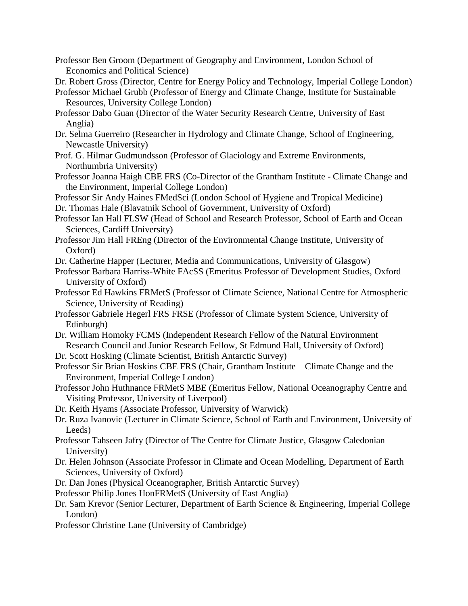Professor Ben Groom (Department of Geography and Environment, London School of Economics and Political Science)

Dr. Robert Gross (Director, Centre for Energy Policy and Technology, Imperial College London)

- Professor Michael Grubb (Professor of Energy and Climate Change, Institute for Sustainable Resources, University College London)
- Professor Dabo Guan (Director of the Water Security Research Centre, University of East Anglia)
- Dr. Selma Guerreiro (Researcher in Hydrology and Climate Change, School of Engineering, Newcastle University)
- Prof. G. Hilmar Gudmundsson (Professor of Glaciology and Extreme Environments, Northumbria University)
- Professor Joanna Haigh CBE FRS (Co-Director of the Grantham Institute Climate Change and the Environment, Imperial College London)

Professor Sir Andy Haines FMedSci (London School of Hygiene and Tropical Medicine)

- Dr. Thomas Hale (Blavatnik School of Government, University of Oxford)
- Professor Ian Hall FLSW (Head of School and Research Professor, School of Earth and Ocean Sciences, Cardiff University)
- Professor Jim Hall FREng (Director of the Environmental Change Institute, University of Oxford)
- Dr. Catherine Happer (Lecturer, Media and Communications, University of Glasgow)
- Professor Barbara Harriss-White FAcSS (Emeritus Professor of Development Studies, Oxford University of Oxford)
- Professor Ed Hawkins FRMetS (Professor of Climate Science, National Centre for Atmospheric Science, University of Reading)
- Professor Gabriele Hegerl FRS FRSE (Professor of Climate System Science, University of Edinburgh)
- Dr. William Homoky FCMS (Independent Research Fellow of the Natural Environment Research Council and Junior Research Fellow, St Edmund Hall, University of Oxford)
- Dr. Scott Hosking (Climate Scientist, British Antarctic Survey)
- Professor Sir Brian Hoskins CBE FRS (Chair, Grantham Institute Climate Change and the Environment, Imperial College London)
- Professor John Huthnance FRMetS MBE (Emeritus Fellow, National Oceanography Centre and Visiting Professor, University of Liverpool)
- Dr. Keith Hyams (Associate Professor, University of Warwick)
- Dr. Ruza Ivanovic (Lecturer in Climate Science, School of Earth and Environment, University of Leeds)
- Professor Tahseen Jafry (Director of The Centre for Climate Justice, Glasgow Caledonian University)
- Dr. Helen Johnson (Associate Professor in Climate and Ocean Modelling, Department of Earth Sciences, University of Oxford)
- Dr. Dan Jones (Physical Oceanographer, British Antarctic Survey)
- Professor Philip Jones HonFRMetS (University of East Anglia)
- Dr. Sam Krevor (Senior Lecturer, Department of Earth Science & Engineering, Imperial College London)
- Professor Christine Lane (University of Cambridge)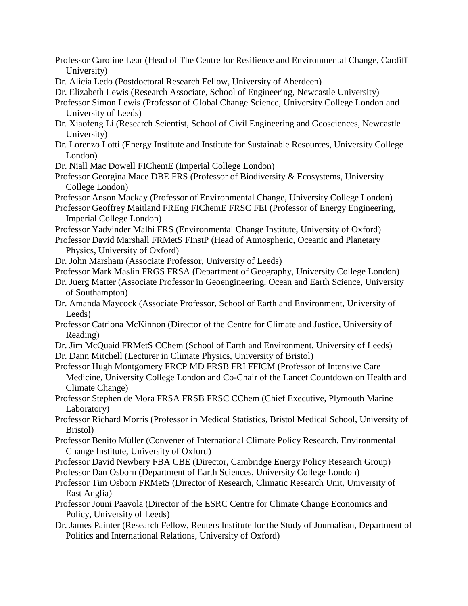- Professor Caroline Lear (Head of The Centre for Resilience and Environmental Change, Cardiff University)
- Dr. Alicia Ledo (Postdoctoral Research Fellow, University of Aberdeen)
- Dr. Elizabeth Lewis (Research Associate, School of Engineering, Newcastle University)
- Professor Simon Lewis (Professor of Global Change Science, University College London and University of Leeds)
- Dr. Xiaofeng Li (Research Scientist, School of Civil Engineering and Geosciences, Newcastle University)
- Dr. Lorenzo Lotti (Energy Institute and Institute for Sustainable Resources, University College London)
- Dr. Niall Mac Dowell FIChemE (Imperial College London)
- Professor Georgina Mace DBE FRS (Professor of Biodiversity & Ecosystems, University College London)
- Professor Anson Mackay (Professor of Environmental Change, University College London)
- Professor Geoffrey Maitland FREng FIChemE FRSC FEI (Professor of Energy Engineering, Imperial College London)
- Professor Yadvinder Malhi FRS (Environmental Change Institute, University of Oxford)
- Professor David Marshall FRMetS FInstP (Head of Atmospheric, Oceanic and Planetary Physics, University of Oxford)
- Dr. John Marsham (Associate Professor, University of Leeds)
- Professor Mark Maslin FRGS FRSA (Department of Geography, University College London)
- Dr. Juerg Matter (Associate Professor in Geoengineering, Ocean and Earth Science, University of Southampton)
- Dr. Amanda Maycock (Associate Professor, School of Earth and Environment, University of Leeds)
- Professor Catriona McKinnon (Director of the Centre for Climate and Justice, University of Reading)
- Dr. Jim McQuaid FRMetS CChem (School of Earth and Environment, University of Leeds)
- Dr. Dann Mitchell (Lecturer in Climate Physics, University of Bristol)
- Professor Hugh Montgomery FRCP MD FRSB FRI FFICM (Professor of Intensive Care Medicine, University College London and Co-Chair of the Lancet Countdown on Health and Climate Change)
- Professor Stephen de Mora FRSA FRSB FRSC CChem (Chief Executive, Plymouth Marine Laboratory)
- Professor Richard Morris (Professor in Medical Statistics, Bristol Medical School, University of Bristol)
- Professor Benito Müller (Convener of International Climate Policy Research, Environmental Change Institute, University of Oxford)
- Professor David Newbery FBA CBE (Director, Cambridge Energy Policy Research Group)
- Professor Dan Osborn (Department of Earth Sciences, University College London)
- Professor Tim Osborn FRMetS (Director of Research, Climatic Research Unit, University of East Anglia)
- Professor Jouni Paavola (Director of the ESRC Centre for Climate Change Economics and Policy, University of Leeds)
- Dr. James Painter (Research Fellow, Reuters Institute for the Study of Journalism, Department of Politics and International Relations, University of Oxford)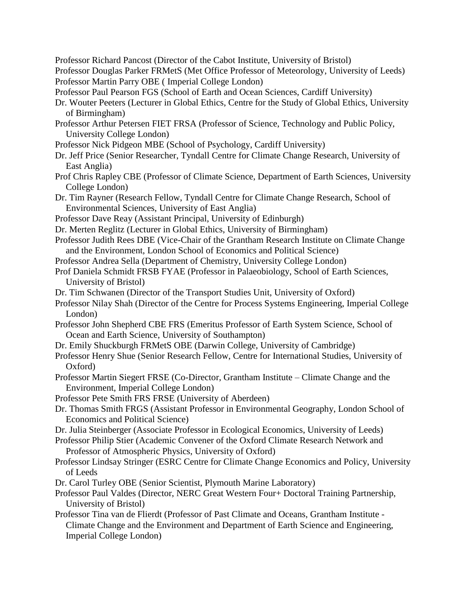Professor Richard Pancost (Director of the Cabot Institute, University of Bristol) Professor Douglas Parker FRMetS (Met Office Professor of Meteorology, University of Leeds) Professor Martin Parry OBE ( Imperial College London) Professor Paul Pearson FGS (School of Earth and Ocean Sciences, Cardiff University) Dr. Wouter Peeters (Lecturer in Global Ethics, Centre for the Study of Global Ethics, University of Birmingham) Professor Arthur Petersen FIET FRSA (Professor of Science, Technology and Public Policy, University College London) Professor Nick Pidgeon MBE (School of Psychology, Cardiff University) Dr. Jeff Price (Senior Researcher, Tyndall Centre for Climate Change Research, University of East Anglia) Prof Chris Rapley CBE (Professor of Climate Science, Department of Earth Sciences, University College London) Dr. Tim Rayner (Research Fellow, Tyndall Centre for Climate Change Research, School of Environmental Sciences, University of East Anglia) Professor Dave Reay (Assistant Principal, University of Edinburgh) Dr. Merten Reglitz (Lecturer in Global Ethics, University of Birmingham) Professor Judith Rees DBE (Vice-Chair of the Grantham Research Institute on Climate Change and the Environment, London School of Economics and Political Science) Professor Andrea Sella (Department of Chemistry, University College London) Prof Daniela Schmidt FRSB FYAE (Professor in Palaeobiology, School of Earth Sciences, University of Bristol) Dr. Tim Schwanen (Director of the Transport Studies Unit, University of Oxford) Professor Nilay Shah (Director of the Centre for Process Systems Engineering, Imperial College London) Professor John Shepherd CBE FRS (Emeritus Professor of Earth System Science, School of Ocean and Earth Science, University of Southampton) Dr. Emily Shuckburgh FRMetS OBE (Darwin College, University of Cambridge) Professor Henry Shue (Senior Research Fellow, Centre for International Studies, University of Oxford) Professor Martin Siegert FRSE (Co-Director, Grantham Institute – Climate Change and the Environment, Imperial College London) Professor Pete Smith FRS FRSE (University of Aberdeen) Dr. Thomas Smith FRGS (Assistant Professor in Environmental Geography, London School of Economics and Political Science) Dr. Julia Steinberger (Associate Professor in Ecological Economics, University of Leeds) Professor Philip Stier (Academic Convener of the Oxford Climate Research Network and Professor of Atmospheric Physics, University of Oxford) Professor Lindsay Stringer (ESRC Centre for Climate Change Economics and Policy, University of Leeds Dr. Carol Turley OBE (Senior Scientist, Plymouth Marine Laboratory) Professor Paul Valdes (Director, NERC Great Western Four+ Doctoral Training Partnership, University of Bristol) Professor Tina van de Flierdt (Professor of Past Climate and Oceans, Grantham Institute - Climate Change and the Environment and Department of Earth Science and Engineering, Imperial College London)